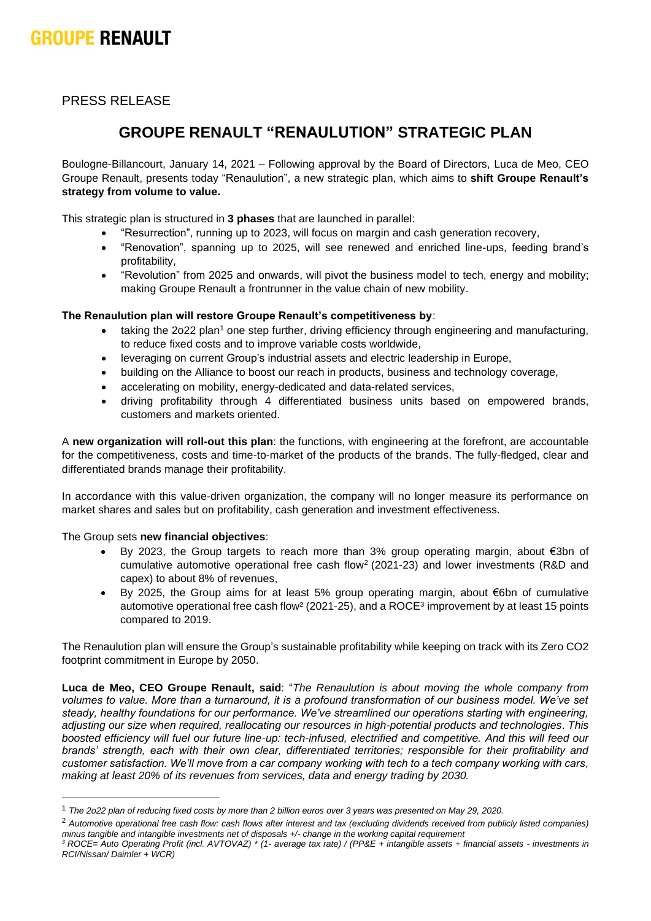# **GROUPE RENAULT**

PRESS RELEASE

# **GROUPE RENAULT "RENAULUTION" STRATEGIC PLAN**

Boulogne-Billancourt, January 14, 2021 – Following approval by the Board of Directors, Luca de Meo, CEO Groupe Renault, presents today "Renaulution", a new strategic plan, which aims to **shift Groupe Renault's strategy from volume to value.**

This strategic plan is structured in **3 phases** that are launched in parallel:

- "Resurrection", running up to 2023, will focus on margin and cash generation recovery,
- "Renovation", spanning up to 2025, will see renewed and enriched line-ups, feeding brand's profitability,
- "Revolution" from 2025 and onwards, will pivot the business model to tech, energy and mobility; making Groupe Renault a frontrunner in the value chain of new mobility.

# **The Renaulution plan will restore Groupe Renault's competitiveness by**:

- taking the 2o22 plan<sup>1</sup> one step further, driving efficiency through engineering and manufacturing, to reduce fixed costs and to improve variable costs worldwide,
- leveraging on current Group's industrial assets and electric leadership in Europe,
- building on the Alliance to boost our reach in products, business and technology coverage,
- accelerating on mobility, energy-dedicated and data-related services,
- driving profitability through 4 differentiated business units based on empowered brands, customers and markets oriented.

A **new organization will roll-out this plan**: the functions, with engineering at the forefront, are accountable for the competitiveness, costs and time-to-market of the products of the brands. The fully-fledged, clear and differentiated brands manage their profitability.

In accordance with this value-driven organization, the company will no longer measure its performance on market shares and sales but on profitability, cash generation and investment effectiveness.

The Group sets **new financial objectives**:

- By 2023, the Group targets to reach more than 3% group operating margin, about €3bn of cumulative automotive operational free cash flow<sup>2</sup> (2021-23) and lower investments (R&D and capex) to about 8% of revenues,
- By 2025, the Group aims for at least 5% group operating margin, about €6bn of cumulative automotive operational free cash flow<sup>2</sup> (2021-25), and a ROCE<sup>3</sup> improvement by at least 15 points compared to 2019.

The Renaulution plan will ensure the Group's sustainable profitability while keeping on track with its Zero CO2 footprint commitment in Europe by 2050.

**Luca de Meo, CEO Groupe Renault, said**: "*The Renaulution is about moving the whole company from volumes to value. More than a turnaround, it is a profound transformation of our business model. We've set steady, healthy foundations for our performance. We've streamlined our operations starting with engineering, adjusting our size when required, reallocating our resources in high-potential products and technologies*. *This boosted efficiency will fuel our future line-up: tech-infused, electrified and competitive. And this will feed our brands' strength, each with their own clear, differentiated territories; responsible for their profitability and customer satisfaction. We'll move from a car company working with tech to a tech company working with cars, making at least 20% of its revenues from services, data and energy trading by 2030.* 

<sup>1</sup> *The 2o22 plan of reducing fixed costs by more than 2 billion euros over 3 years was presented on May 29, 2020.*

<sup>2</sup> *Automotive operational free cash flow: cash flows after interest and tax (excluding dividends received from publicly listed companies) minus tangible and intangible investments net of disposals +/- change in the working capital requirement*

*<sup>3</sup> ROCE= Auto Operating Profit (incl. AVTOVAZ) \* (1- average tax rate) / (PP&E + intangible assets + financial assets - investments in RCI/Nissan/ Daimler + WCR)*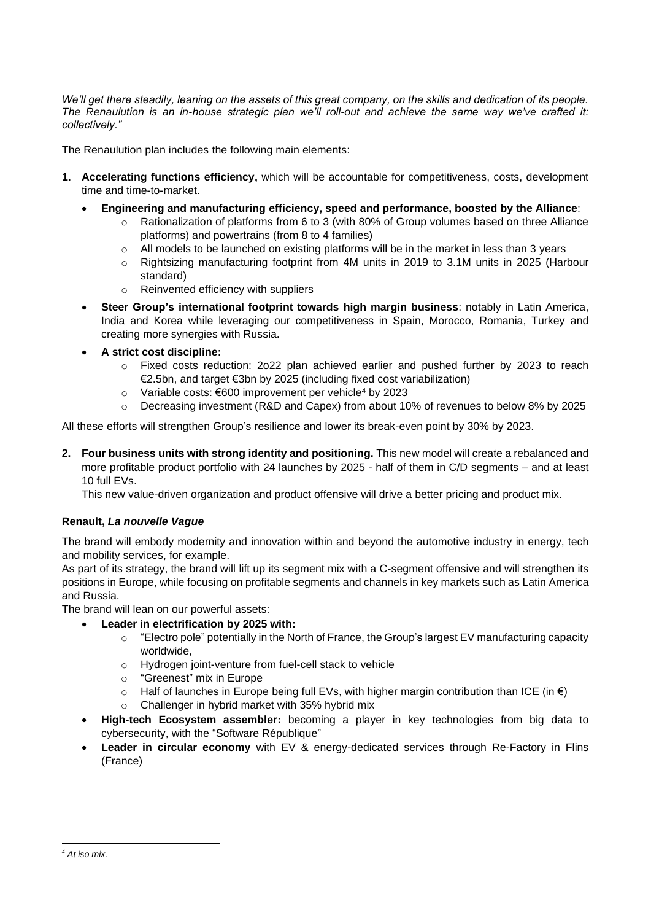We'll get there steadily, leaning on the assets of this great company, on the skills and dedication of its people. *The Renaulution is an in-house strategic plan we'll roll-out and achieve the same way we've crafted it: collectively."* 

The Renaulution plan includes the following main elements:

- **1. Accelerating functions efficiency,** which will be accountable for competitiveness, costs, development time and time-to-market.
	- **Engineering and manufacturing efficiency, speed and performance, boosted by the Alliance**:
		- o Rationalization of platforms from 6 to 3 (with 80% of Group volumes based on three Alliance platforms) and powertrains (from 8 to 4 families)
		- $\circ$  All models to be launched on existing platforms will be in the market in less than 3 years
		- o Rightsizing manufacturing footprint from 4M units in 2019 to 3.1M units in 2025 (Harbour standard)
		- o Reinvented efficiency with suppliers
	- **Steer Group's international footprint towards high margin business**: notably in Latin America, India and Korea while leveraging our competitiveness in Spain, Morocco, Romania, Turkey and creating more synergies with Russia.
	- **A strict cost discipline:** 
		- o Fixed costs reduction: 2o22 plan achieved earlier and pushed further by 2023 to reach €2.5bn, and target €3bn by 2025 (including fixed cost variabilization)
		- o Variable costs: €600 improvement per vehicle<sup>4</sup> by 2023
		- o Decreasing investment (R&D and Capex) from about 10% of revenues to below 8% by 2025

All these efforts will strengthen Group's resilience and lower its break-even point by 30% by 2023.

**2. Four business units with strong identity and positioning.** This new model will create a rebalanced and more profitable product portfolio with 24 launches by 2025 - half of them in C/D segments – and at least 10 full EVs.

This new value-driven organization and product offensive will drive a better pricing and product mix.

# **Renault,** *La nouvelle Vague*

The brand will embody modernity and innovation within and beyond the automotive industry in energy, tech and mobility services, for example.

As part of its strategy, the brand will lift up its segment mix with a C-segment offensive and will strengthen its positions in Europe, while focusing on profitable segments and channels in key markets such as Latin America and Russia.

The brand will lean on our powerful assets:

- **Leader in electrification by 2025 with:**
	- o "Electro pole" potentially in the North of France, the Group's largest EV manufacturing capacity worldwide,
	- o Hydrogen joint-venture from fuel-cell stack to vehicle
	- o "Greenest" mix in Europe
	- $\circ$  Half of launches in Europe being full EVs, with higher margin contribution than ICE (in  $\epsilon$ )
	- o Challenger in hybrid market with 35% hybrid mix
- **High-tech Ecosystem assembler:** becoming a player in key technologies from big data to cybersecurity, with the "Software République"
- **Leader in circular economy** with EV & energy-dedicated services through Re-Factory in Flins (France)

*<sup>4</sup> At iso mix.*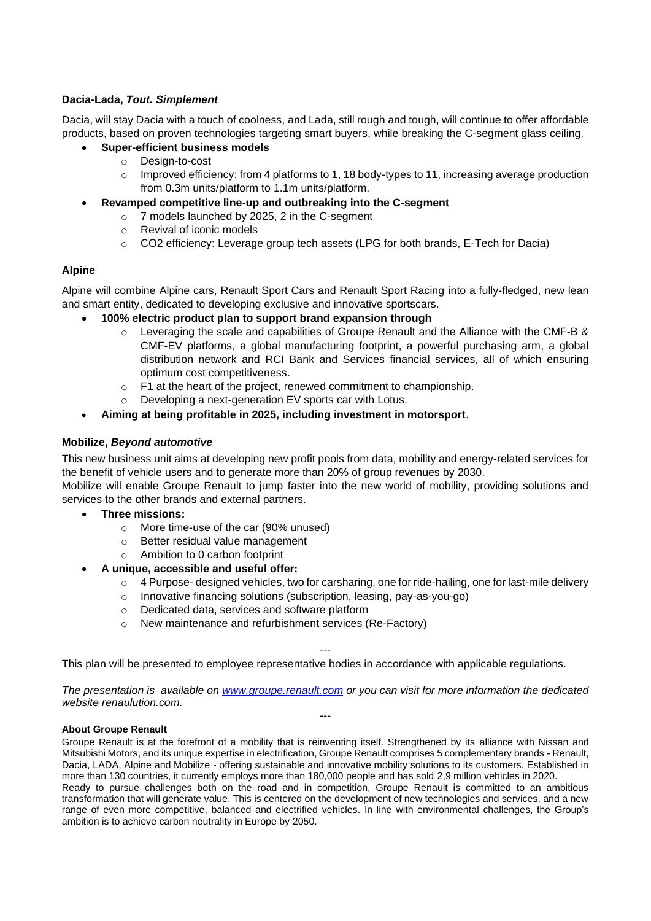# **Dacia-Lada,** *Tout. Simplement*

Dacia, will stay Dacia with a touch of coolness, and Lada, still rough and tough, will continue to offer affordable products, based on proven technologies targeting smart buyers, while breaking the C-segment glass ceiling.

- **Super-efficient business models** 
	- o Design-to-cost
	- $\circ$  Improved efficiency: from 4 platforms to 1, 18 body-types to 11, increasing average production from 0.3m units/platform to 1.1m units/platform.
- **Revamped competitive line-up and outbreaking into the C-segment**
	- o 7 models launched by 2025, 2 in the C-segment
	- o Revival of iconic models
	- o CO2 efficiency: Leverage group tech assets (LPG for both brands, E-Tech for Dacia)

#### **Alpine**

Alpine will combine Alpine cars, Renault Sport Cars and Renault Sport Racing into a fully-fledged, new lean and smart entity, dedicated to developing exclusive and innovative sportscars.

#### • **100% electric product plan to support brand expansion through**

- $\circ$  Leveraging the scale and capabilities of Groupe Renault and the Alliance with the CMF-B & CMF-EV platforms, a global manufacturing footprint, a powerful purchasing arm, a global distribution network and RCI Bank and Services financial services, all of which ensuring optimum cost competitiveness.
- $\circ$  F1 at the heart of the project, renewed commitment to championship.
- o Developing a next-generation EV sports car with Lotus.
- **Aiming at being profitable in 2025, including investment in motorsport**.

#### **Mobilize,** *Beyond automotive*

This new business unit aims at developing new profit pools from data, mobility and energy-related services for the benefit of vehicle users and to generate more than 20% of group revenues by 2030.

Mobilize will enable Groupe Renault to jump faster into the new world of mobility, providing solutions and services to the other brands and external partners.

- **Three missions:**
	- o More time-use of the car (90% unused)
	- o Better residual value management
	- o Ambition to 0 carbon footprint

#### • **A unique, accessible and useful offer:**

- $\circ$  4 Purpose- designed vehicles, two for carsharing, one for ride-hailing, one for last-mile delivery
- o Innovative financing solutions (subscription, leasing, pay-as-you-go)
- o Dedicated data, services and software platform
- o New maintenance and refurbishment services (Re-Factory)

This plan will be presented to employee representative bodies in accordance with applicable regulations.

*The presentation is available on [www.groupe.renault.com](http://www.groupe.renault.com/) or you can visit for more information the dedicated website renaulution.com.* ---

---

#### **About Groupe Renault**

Groupe Renault is at the forefront of a mobility that is reinventing itself. Strengthened by its alliance with Nissan and Mitsubishi Motors, and its unique expertise in electrification, Groupe Renault comprises 5 complementary brands - Renault, Dacia, LADA, Alpine and Mobilize - offering sustainable and innovative mobility solutions to its customers. Established in more than 130 countries, it currently employs more than 180,000 people and has sold 2,9 million vehicles in 2020. Ready to pursue challenges both on the road and in competition, Groupe Renault is committed to an ambitious transformation that will generate value. This is centered on the development of new technologies and services, and a new range of even more competitive, balanced and electrified vehicles. In line with environmental challenges, the Group's ambition is to achieve carbon neutrality in Europe by 2050.